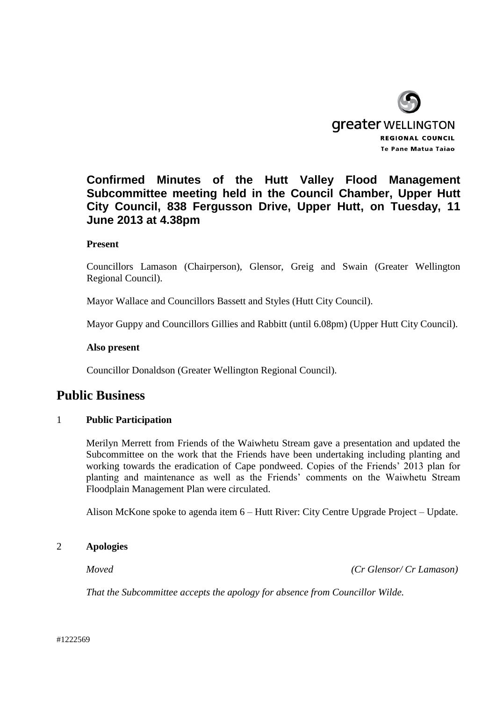

# **Confirmed Minutes of the Hutt Valley Flood Management Subcommittee meeting held in the Council Chamber, Upper Hutt City Council, 838 Fergusson Drive, Upper Hutt, on Tuesday, 11 June 2013 at 4.38pm**

## **Present**

Councillors Lamason (Chairperson), Glensor, Greig and Swain (Greater Wellington Regional Council).

Mayor Wallace and Councillors Bassett and Styles (Hutt City Council).

Mayor Guppy and Councillors Gillies and Rabbitt (until 6.08pm) (Upper Hutt City Council).

#### **Also present**

Councillor Donaldson (Greater Wellington Regional Council).

## **Public Business**

## 1 **Public Participation**

Merilyn Merrett from Friends of the Waiwhetu Stream gave a presentation and updated the Subcommittee on the work that the Friends have been undertaking including planting and working towards the eradication of Cape pondweed. Copies of the Friends' 2013 plan for planting and maintenance as well as the Friends' comments on the Waiwhetu Stream Floodplain Management Plan were circulated.

Alison McKone spoke to agenda item 6 – Hutt River: City Centre Upgrade Project – Update.

#### 2 **Apologies**

*Moved (Cr Glensor/ Cr Lamason)*

*That the Subcommittee accepts the apology for absence from Councillor Wilde.*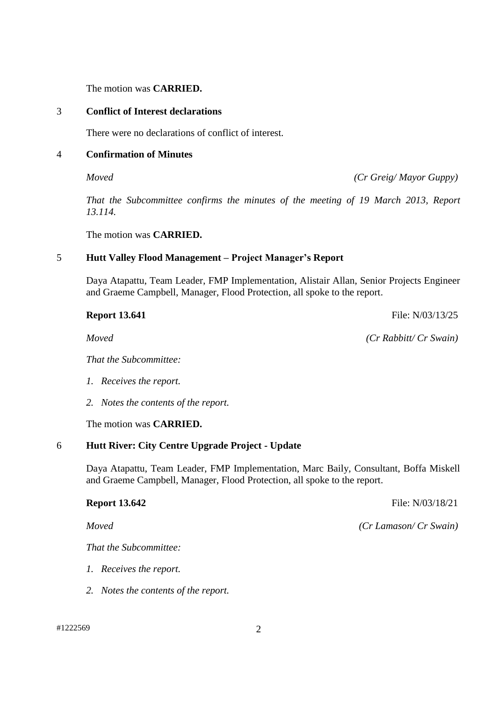The motion was **CARRIED.**

### 3 **Conflict of Interest declarations**

There were no declarations of conflict of interest.

## 4 **Confirmation of Minutes**

*Moved (Cr Greig/ Mayor Guppy)*

*That the Subcommittee confirms the minutes of the meeting of 19 March 2013, Report 13.114.*

The motion was **CARRIED.**

## 5 **Hutt Valley Flood Management – Project Manager's Report**

Daya Atapattu, Team Leader, FMP Implementation, Alistair Allan, Senior Projects Engineer and Graeme Campbell, Manager, Flood Protection, all spoke to the report.

*That the Subcommittee:*

- *1. Receives the report.*
- *2. Notes the contents of the report.*

The motion was **CARRIED.**

## 6 **Hutt River: City Centre Upgrade Project - Update**

Daya Atapattu, Team Leader, FMP Implementation, Marc Baily, Consultant, Boffa Miskell and Graeme Campbell, Manager, Flood Protection, all spoke to the report.

*That the Subcommittee:*

- *1. Receives the report.*
- *2. Notes the contents of the report.*

**Report 13.642** File: N/03/18/21

*Moved (Cr Lamason/ Cr Swain)*

**Report 13.641** File: N/03/13/25

*Moved (Cr Rabbitt/ Cr Swain)*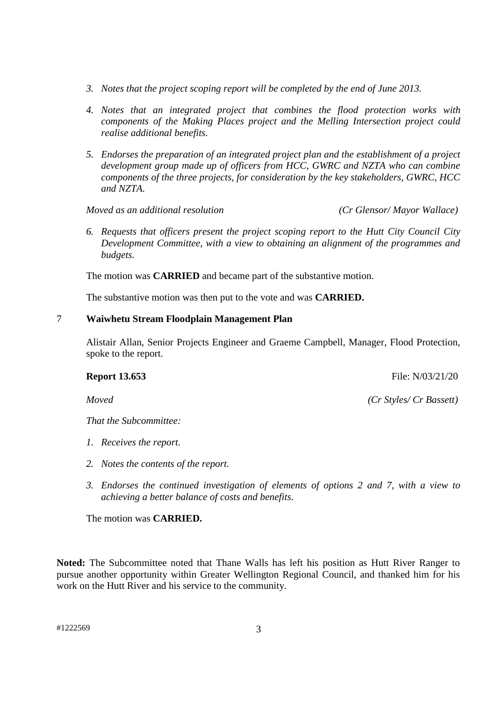- *3. Notes that the project scoping report will be completed by the end of June 2013.*
- *4. Notes that an integrated project that combines the flood protection works with components of the Making Places project and the Melling Intersection project could realise additional benefits.*
- *5. Endorses the preparation of an integrated project plan and the establishment of a project development group made up of officers from HCC, GWRC and NZTA who can combine components of the three projects, for consideration by the key stakeholders, GWRC, HCC and NZTA.*

*Moved as an additional resolution (Cr Glensor/ Mayor Wallace)*

*6. Requests that officers present the project scoping report to the Hutt City Council City Development Committee, with a view to obtaining an alignment of the programmes and budgets.*

The motion was **CARRIED** and became part of the substantive motion.

The substantive motion was then put to the vote and was **CARRIED.**

## 7 **Waiwhetu Stream Floodplain Management Plan**

Alistair Allan, Senior Projects Engineer and Graeme Campbell, Manager, Flood Protection, spoke to the report.

*That the Subcommittee:*

- *1. Receives the report.*
- *2. Notes the contents of the report.*
- *3. Endorses the continued investigation of elements of options 2 and 7, with a view to achieving a better balance of costs and benefits.*

The motion was **CARRIED.**

**Noted:** The Subcommittee noted that Thane Walls has left his position as Hutt River Ranger to pursue another opportunity within Greater Wellington Regional Council, and thanked him for his work on the Hutt River and his service to the community.

**Report 13.653** File: N/03/21/20

*Moved (Cr Styles/ Cr Bassett)*